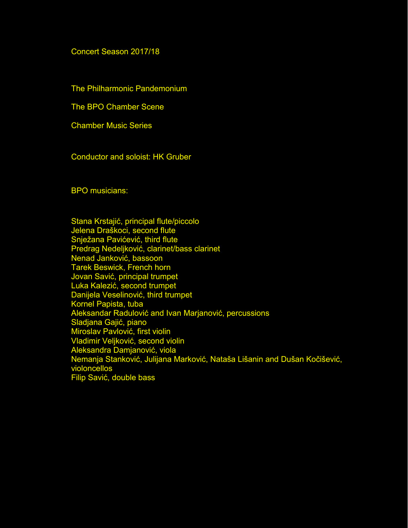## Concert Season 2017/18

The Philharmonic Pandemonium

The BPO Chamber Scene

Chamber Music Series

Conductor and soloist: HK Gruber

BPO musicians:

Stana Krstajić, principal flute/piccolo Jelena Draškoci, second flute Snježana Pavićević, third flute Predrag Nedeljković, clarinet/bass clarinet Nenad Janković, bassoon Tarek Beswick, French horn Jovan Savić, principal trumpet Luka Kalezić, second trumpet Danijela Veselinović, third trumpet Kornel Papista, tuba Aleksandar Radulović and Ivan Marjanović, percussions Sladjana Gajić, piano Miroslav Pavlović, first violin Vladimir Veljković, second violin Aleksandra Damjanović, viola Nemanja Stanković, Julijana Marković, Nataša Lišanin and Dušan Kočišević, violoncellos Filip Savić, double bass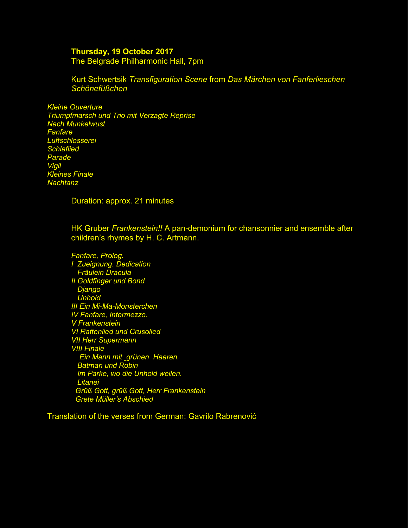## **Thursday, 19 October 2017**

The Belgrade Philharmonic Hall, 7pm

Kurt Schwertsik *Transfiguration Scene* from *Das Märchen von Fanferlieschen Schönefüßchen* 

*Kleine Ouverture Triumpfmarsch und Trio mit Verzagte Reprise Nach Munkelwust Fanfare Luftschlosserei Schlaflied Parade Vigil Kleines Finale Nachtanz* 

Duration: approx. 21 minutes

HK Gruber *Frankenstein!!* A pan-demonium for chansonnier and ensemble after children's rhymes by H. C. Artmann.

*Fanfare, Prolog. I Zueignung. Dedication Fräulein Dracula II Goldfinger und Bond Django Unhold III Ein Mi-Ma-Monsterchen IV Fanfare, Intermezzo. V Frankenstein VI Rattenlied und Crusolied VII Herr Supermann VIII Finale Ein Mann mit grünen Haaren. Batman und Robin Im Parke, wo die Unhold weilen. Litanei Grüß Gott, grüß Gott, Herr Frankenstein Grete Müller's Abschied* 

Translation of the verses from German: Gavrilo Rabrenović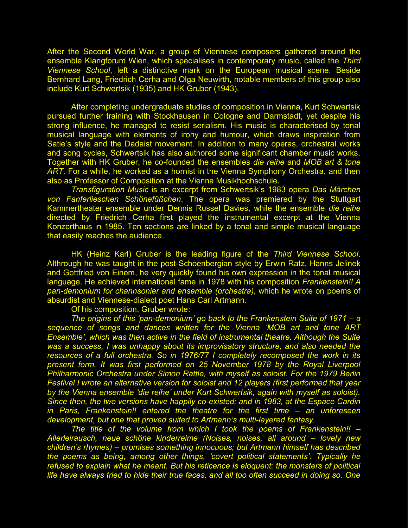After the Second World War, a group of Viennese composers gathered around the ensemble Klangforum Wien, which specialises in contemporary music, called the *Third Viennese School*, left a distinctive mark on the European musical scene. Beside Bernhard Lang, Friedrich Cerha and Olga Neuwirth, notable members of this group also include Kurt Schwertsik (1935) and HK Gruber (1943).

After completing undergraduate studies of composition in Vienna, Kurt Schwertsik pursued further training with Stockhausen in Cologne and Darmstadt, yet despite his strong influence, he managed to resist serialism. His music is characterised by tonal musical language with elements of irony and humour, which draws inspiration from Satie's style and the Dadaist movement. In addition to many operas, orchestral works and song cycles, Schwertsik has also authored some significant chamber music works. Together with HK Gruber, he co-founded the ensembles *die reihe* and *MOB art & tone ART*. For a while, he worked as a hornist in the Vienna Symphony Orchestra, and then also as Professor of Composition at the Vienna Musikhochschule.

*Transfiguration Music* is an excerpt from Schwertsik's 1983 opera *Das Märchen von Fanferlieschen Schönefüßchen*. The opera was premiered by the Stuttgart Kammertheater ensemble under Dennis Russel Davies, while the ensemble *die reihe*  directed by Friedrich Cerha first played the instrumental excerpt at the Vienna Konzerthaus in 1985. Ten sections are linked by a tonal and simple musical language that easily reaches the audience.

HK (Heinz Karl) Gruber is the leading figure of the *Third Viennese School*. Althrough he was taught in the post-Schoenbergian style by Erwin Ratz, Hanns Jelinek and Gottfried von Einem, he very quickly found his own expression in the tonal musical language. He achieved international fame in 1978 with his composition *Frankenstein!! A pan-demonium for channsonier and ensemble (orchestra),* which he wrote on poems of absurdist and Viennese-dialect poet Hans Carl Artmann.

Of his composition, Gruber wrote:

*The origins of this 'pan-demonium' go back to the Frankenstein Suite of 1971 – a sequence of songs and dances written for the Vienna 'MOB art and tone ART Ensemble', which was then active in the field of instrumental theatre. Although the Suite was a success, I was unhappy about its improvisatory structure, and also needed the* resources of a full orchestra. So in 1976/77 I completely recomposed the work in its *present form. It was first performed on 25 November 1978 by the Royal Liverpool Philharmonic Orchestra under Simon Rattle, with myself as soloist. For the 1979 Berlin Festival I wrote an alternative version for soloist and 12 players (first performed that year by the Vienna ensemble 'die reihe' under Kurt Schwertsik, again with myself as soloist). Since then, the two versions have happily co-existed; and in 1983, at the Espace Cardin in Paris, Frankenstein!! entered the theatre for the first time – an unforeseen development, but one that proved suited to Artmann's multi-layered fantasy.* 

*The title of the volume from which I took the poems of Frankenstein!! – Allerleirausch, neue schöne kinderreime (Noises, noises, all around – lovely new children's rhymes) – promises something innocuous; but Artmann himself has described the poems as being, among other things, 'covert political statements'. Typically he*  refused to explain what he meant. But his reticence is eloquent: the monsters of political *life have always tried to hide their true faces, and all too often succeed in doing so. One*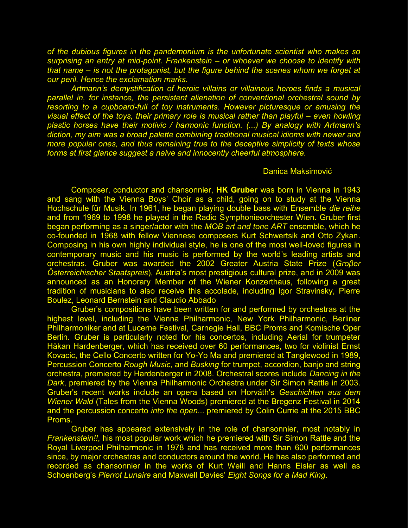*of the dubious figures in the pandemonium is the unfortunate scientist who makes so surprising an entry at mid-point. Frankenstein – or whoever we choose to identify with that name – is not the protagonist, but the figure behind the scenes whom we forget at our peril. Hence the exclamation marks.* 

*Artmann's demystification of heroic villains or villainous heroes finds a musical parallel in, for instance, the persistent alienation of conventional orchestral sound by resorting to a cupboard-full of toy instruments. However picturesque or amusing the visual effect of the toys, their primary role is musical rather than playful – even howling plastic horses have their motivic / harmonic function. (...) By analogy with Artmann's diction, my aim was a broad palette combining traditional musical idioms with newer and more popular ones, and thus remaining true to the deceptive simplicity of texts whose forms at first glance suggest a naive and innocently cheerful atmosphere.* 

## Danica Maksimović

Composer, conductor and chansonnier, **HK Gruber** was born in Vienna in 1943 and sang with the Vienna Boys' Choir as a child, going on to study at the Vienna Hochschule für Musik. In 1961, he began playing double bass with Ensemble *die reihe* and from 1969 to 1998 he played in the Radio Symphonieorchester Wien. Gruber first began performing as a singer/actor with the *MOB art and tone ART* ensemble, which he co-founded in 1968 with fellow Viennese composers Kurt Schwertsik and Otto Zykan. Composing in his own highly individual style, he is one of the most well-loved figures in contemporary music and his music is performed by the world's leading artists and orchestras. Gruber was awarded the 2002 Greater Austria State Prize (*Groβer Österreichischer Staatspreis*), Austria's most prestigious cultural prize, and in 2009 was announced as an Honorary Member of the Wiener Konzerthaus, following a great tradition of musicians to also receive this accolade, including Igor Stravinsky, Pierre Boulez, Leonard Bernstein and Claudio Abbado

Gruber's compositions have been written for and performed by orchestras at the highest level, including the Vienna Philharmonic, New York Philharmonic, Berliner Philharmoniker and at Lucerne Festival, Carnegie Hall, BBC Proms and Komische Oper Berlin. Gruber is particularly noted for his concertos, including Aerial for trumpeter Håkan Hardenberger, which has received over 60 performances, two for violinist Ernst Kovacic, the Cello Concerto written for Yo-Yo Ma and premiered at Tanglewood in 1989, Percussion Concerto *Rough Music*, and *Busking* for trumpet, accordion, banjo and string orchestra, premiered by Hardenberger in 2008. Orchestral scores include *Dancing in the Dark*, premiered by the Vienna Philharmonic Orchestra under Sir Simon Rattle in 2003. Gruber's recent works include an opera based on Horváth's *Geschichten aus dem Wiener Wald* (Tales from the Vienna Woods) premiered at the Bregenz Festival in 2014 and the percussion concerto *into the open*... premiered by Colin Currie at the 2015 BBC Proms.

Gruber has appeared extensively in the role of chansonnier, most notably in *Frankenstein!!*, his most popular work which he premiered with Sir Simon Rattle and the Royal Liverpool Philharmonic in 1978 and has received more than 600 performances since, by major orchestras and conductors around the world. He has also performed and recorded as chansonnier in the works of Kurt Weill and Hanns Eisler as well as Schoenberg's *Pierrot Lunaire* and Maxwell Davies' *Eight Songs for a Mad King*.